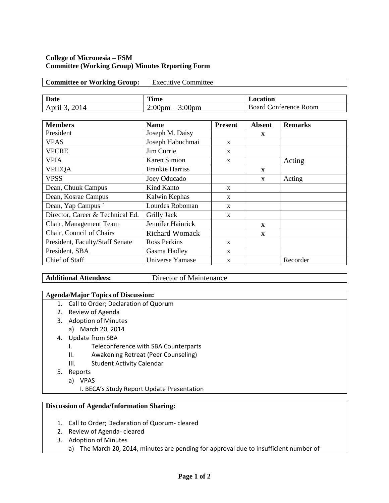## **College of Micronesia – FSM Committee (Working Group) Minutes Reporting Form**

| <b>Committee or Working Group:</b> | <b>Executive Committee</b>        |                              |
|------------------------------------|-----------------------------------|------------------------------|
|                                    |                                   |                              |
| Date                               | Time                              | Location                     |
| April 3, 2014                      | $2:00 \text{pm} - 3:00 \text{pm}$ | <b>Board Conference Room</b> |
|                                    |                                   |                              |

| <b>Members</b>                   | <b>Name</b>            | <b>Present</b> | <b>Absent</b> | <b>Remarks</b> |
|----------------------------------|------------------------|----------------|---------------|----------------|
| President                        | Joseph M. Daisy        |                | X             |                |
| <b>VPAS</b>                      | Joseph Habuchmai       | $\mathbf{x}$   |               |                |
| <b>VPCRE</b>                     | Jim Currie             | $\mathbf{x}$   |               |                |
| <b>VPIA</b>                      | <b>Karen Simion</b>    | $\mathbf{x}$   |               | Acting         |
| <b>VPIEQA</b>                    | <b>Frankie Harriss</b> |                | X             |                |
| <b>VPSS</b>                      | Joey Oducado           |                | $\mathbf{X}$  | Acting         |
| Dean, Chuuk Campus               | Kind Kanto             | $\mathbf{x}$   |               |                |
| Dean, Kosrae Campus              | Kalwin Kephas          | X              |               |                |
| Dean, Yap Campus                 | Lourdes Roboman        | $\mathbf{x}$   |               |                |
| Director, Career & Technical Ed. | Grilly Jack            | $\mathbf{x}$   |               |                |
| Chair, Management Team           | Jennifer Hainrick      |                | $\mathbf{x}$  |                |
| Chair, Council of Chairs         | <b>Richard Womack</b>  |                | X             |                |
| President, Faculty/Staff Senate  | <b>Ross Perkins</b>    | X              |               |                |
| President, SBA                   | Gasma Hadley           | $\mathbf{x}$   |               |                |
| Chief of Staff                   | Universe Yamase        | X              |               | Recorder       |

Additional Attendees: **Director of Maintenance** 

# A**genda/Major Topics of Discussion:**

- 1. Call to Order; Declaration of Quorum
- 2. Review of Agenda
- 3. Adoption of Minutes
	- a) March 20, 2014
- 4. Update from SBA
	- I. Teleconference with SBA Counterparts
	- II. Awakening Retreat (Peer Counseling)
	- III. Student Activity Calendar
- 5. Reports
	- a) VPAS
		- I. BECA's Study Report Update Presentation

# **Discussion of Agenda/Information Sharing:**

- 1. Call to Order; Declaration of Quorum- cleared
- 2. Review of Agenda- cleared
- 3. Adoption of Minutes
	- a) The March 20, 2014, minutes are pending for approval due to insufficient number of